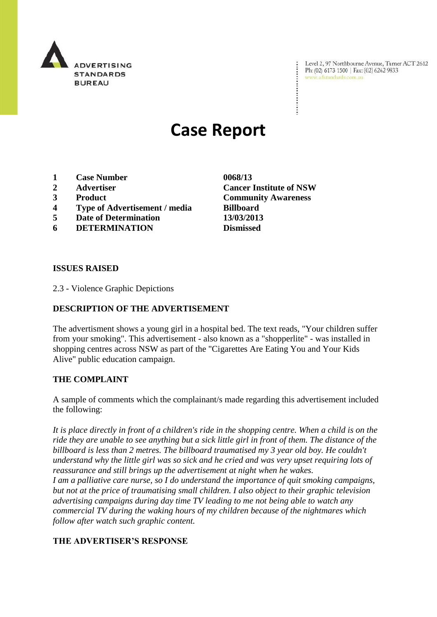

Level 2, 97 Northbourne Avenue, Turner ACT 2612 Ph: (02) 6173 1500 | Fax: (02) 6262 9833 www.adstandards.com.au

# **Case Report**

- **1 Case Number 0068/13**
- 
- 
- **4 Type of Advertisement / media Billboard**
- **5 Date of Determination 13/03/2013**
- **6 DETERMINATION Dismissed**

**2 Advertiser Cancer Institute of NSW 3 Product Community Awareness**

#### **ISSUES RAISED**

2.3 - Violence Graphic Depictions

## **DESCRIPTION OF THE ADVERTISEMENT**

The advertisment shows a young girl in a hospital bed. The text reads, "Your children suffer from your smoking". This advertisement - also known as a "shopperlite" - was installed in shopping centres across NSW as part of the "Cigarettes Are Eating You and Your Kids Alive" public education campaign.

#### **THE COMPLAINT**

A sample of comments which the complainant/s made regarding this advertisement included the following:

*It is place directly in front of a children's ride in the shopping centre. When a child is on the ride they are unable to see anything but a sick little girl in front of them. The distance of the billboard is less than 2 metres. The billboard traumatised my 3 year old boy. He couldn't understand why the little girl was so sick and he cried and was very upset requiring lots of reassurance and still brings up the advertisement at night when he wakes.*

*I am a palliative care nurse, so I do understand the importance of quit smoking campaigns, but not at the price of traumatising small children. I also object to their graphic television advertising campaigns during day time TV leading to me not being able to watch any commercial TV during the waking hours of my children because of the nightmares which follow after watch such graphic content.*

## **THE ADVERTISER'S RESPONSE**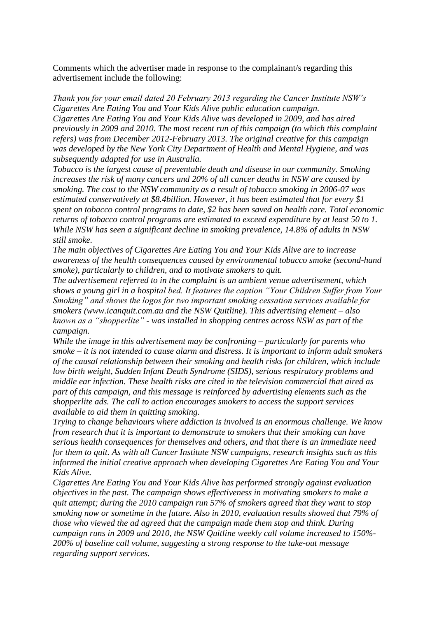Comments which the advertiser made in response to the complainant/s regarding this advertisement include the following:

*Thank you for your email dated 20 February 2013 regarding the Cancer Institute NSW's Cigarettes Are Eating You and Your Kids Alive public education campaign. Cigarettes Are Eating You and Your Kids Alive was developed in 2009, and has aired previously in 2009 and 2010. The most recent run of this campaign (to which this complaint refers) was from December 2012-February 2013. The original creative for this campaign was developed by the New York City Department of Health and Mental Hygiene, and was subsequently adapted for use in Australia.*

*Tobacco is the largest cause of preventable death and disease in our community. Smoking increases the risk of many cancers and 20% of all cancer deaths in NSW are caused by smoking. The cost to the NSW community as a result of tobacco smoking in 2006-07 was estimated conservatively at \$8.4billion. However, it has been estimated that for every \$1 spent on tobacco control programs to date, \$2 has been saved on health care. Total economic returns of tobacco control programs are estimated to exceed expenditure by at least 50 to 1. While NSW has seen a significant decline in smoking prevalence, 14.8% of adults in NSW still smoke.*

*The main objectives of Cigarettes Are Eating You and Your Kids Alive are to increase awareness of the health consequences caused by environmental tobacco smoke (second-hand smoke), particularly to children, and to motivate smokers to quit.*

*The advertisement referred to in the complaint is an ambient venue advertisement, which shows a young girl in a hospital bed. It features the caption "Your Children Suffer from Your Smoking" and shows the logos for two important smoking cessation services available for smokers (www.icanquit.com.au and the NSW Quitline). This advertising element – also known as a "shopperlite" - was installed in shopping centres across NSW as part of the campaign.*

*While the image in this advertisement may be confronting – particularly for parents who smoke – it is not intended to cause alarm and distress. It is important to inform adult smokers of the causal relationship between their smoking and health risks for children, which include low birth weight, Sudden Infant Death Syndrome (SIDS), serious respiratory problems and middle ear infection. These health risks are cited in the television commercial that aired as part of this campaign, and this message is reinforced by advertising elements such as the shopperlite ads. The call to action encourages smokers to access the support services available to aid them in quitting smoking.*

*Trying to change behaviours where addiction is involved is an enormous challenge. We know from research that it is important to demonstrate to smokers that their smoking can have serious health consequences for themselves and others, and that there is an immediate need for them to quit. As with all Cancer Institute NSW campaigns, research insights such as this informed the initial creative approach when developing Cigarettes Are Eating You and Your Kids Alive.*

*Cigarettes Are Eating You and Your Kids Alive has performed strongly against evaluation objectives in the past. The campaign shows effectiveness in motivating smokers to make a quit attempt; during the 2010 campaign run 57% of smokers agreed that they want to stop smoking now or sometime in the future. Also in 2010, evaluation results showed that 79% of those who viewed the ad agreed that the campaign made them stop and think. During campaign runs in 2009 and 2010, the NSW Quitline weekly call volume increased to 150%- 200% of baseline call volume, suggesting a strong response to the take-out message regarding support services.*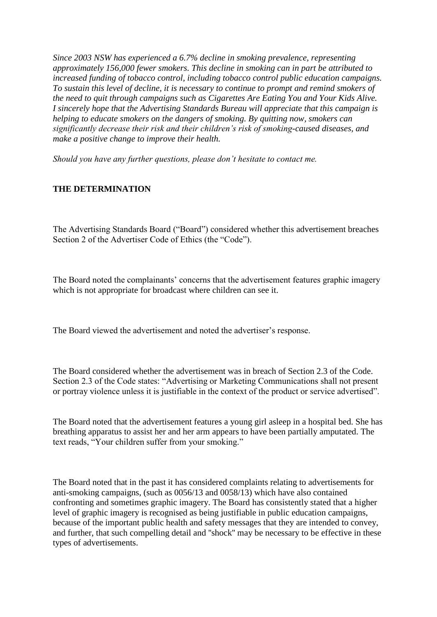*Since 2003 NSW has experienced a 6.7% decline in smoking prevalence, representing approximately 156,000 fewer smokers. This decline in smoking can in part be attributed to increased funding of tobacco control, including tobacco control public education campaigns. To sustain this level of decline, it is necessary to continue to prompt and remind smokers of the need to quit through campaigns such as Cigarettes Are Eating You and Your Kids Alive. I sincerely hope that the Advertising Standards Bureau will appreciate that this campaign is helping to educate smokers on the dangers of smoking. By quitting now, smokers can significantly decrease their risk and their children's risk of smoking-caused diseases, and make a positive change to improve their health.*

*Should you have any further questions, please don't hesitate to contact me.*

### **THE DETERMINATION**

The Advertising Standards Board ("Board") considered whether this advertisement breaches Section 2 of the Advertiser Code of Ethics (the "Code").

The Board noted the complainants' concerns that the advertisement features graphic imagery which is not appropriate for broadcast where children can see it.

The Board viewed the advertisement and noted the advertiser's response.

The Board considered whether the advertisement was in breach of Section 2.3 of the Code. Section 2.3 of the Code states: "Advertising or Marketing Communications shall not present or portray violence unless it is justifiable in the context of the product or service advertised".

The Board noted that the advertisement features a young girl asleep in a hospital bed. She has breathing apparatus to assist her and her arm appears to have been partially amputated. The text reads, "Your children suffer from your smoking."

The Board noted that in the past it has considered complaints relating to advertisements for anti-smoking campaigns, (such as 0056/13 and 0058/13) which have also contained confronting and sometimes graphic imagery. The Board has consistently stated that a higher level of graphic imagery is recognised as being justifiable in public education campaigns, because of the important public health and safety messages that they are intended to convey, and further, that such compelling detail and ''shock'' may be necessary to be effective in these types of advertisements.